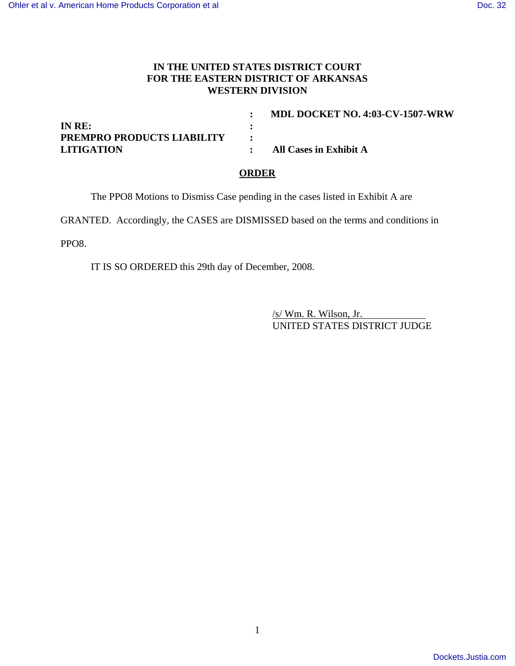## **IN THE UNITED STATES DISTRICT COURT FOR THE EASTERN DISTRICT OF ARKANSAS WESTERN DIVISION**

| MDL DOCKET NO. 4:03-CV-1507-WRW |
|---------------------------------|
|                                 |
|                                 |
| All Cases in Exhibit A          |
|                                 |

## **ORDER**

The PPO8 Motions to Dismiss Case pending in the cases listed in Exhibit A are

GRANTED. Accordingly, the CASES are DISMISSED based on the terms and conditions in

PPO8.

IT IS SO ORDERED this 29th day of December, 2008.

/s/ Wm. R. Wilson, Jr. UNITED STATES DISTRICT JUDGE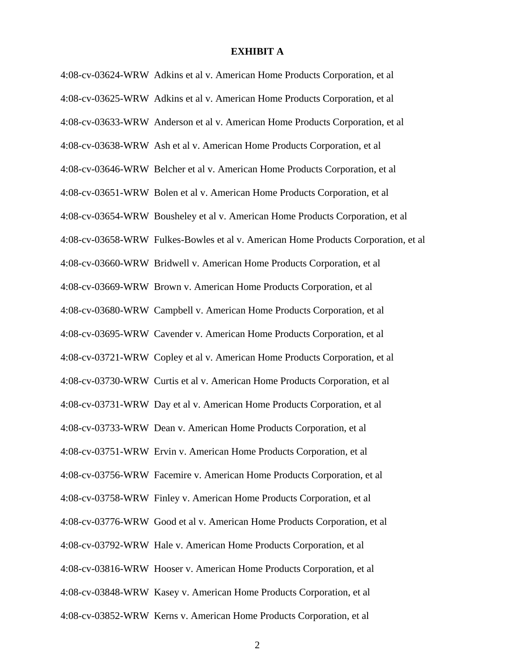## **EXHIBIT A**

4:08-cv-03624-WRW Adkins et al v. American Home Products Corporation, et al 4:08-cv-03625-WRW Adkins et al v. American Home Products Corporation, et al 4:08-cv-03633-WRW Anderson et al v. American Home Products Corporation, et al 4:08-cv-03638-WRW Ash et al v. American Home Products Corporation, et al 4:08-cv-03646-WRW Belcher et al v. American Home Products Corporation, et al 4:08-cv-03651-WRW Bolen et al v. American Home Products Corporation, et al 4:08-cv-03654-WRW Bousheley et al v. American Home Products Corporation, et al 4:08-cv-03658-WRW Fulkes-Bowles et al v. American Home Products Corporation, et al 4:08-cv-03660-WRW Bridwell v. American Home Products Corporation, et al 4:08-cv-03669-WRW Brown v. American Home Products Corporation, et al 4:08-cv-03680-WRW Campbell v. American Home Products Corporation, et al 4:08-cv-03695-WRW Cavender v. American Home Products Corporation, et al 4:08-cv-03721-WRW Copley et al v. American Home Products Corporation, et al 4:08-cv-03730-WRW Curtis et al v. American Home Products Corporation, et al 4:08-cv-03731-WRW Day et al v. American Home Products Corporation, et al 4:08-cv-03733-WRW Dean v. American Home Products Corporation, et al 4:08-cv-03751-WRW Ervin v. American Home Products Corporation, et al 4:08-cv-03756-WRW Facemire v. American Home Products Corporation, et al 4:08-cv-03758-WRW Finley v. American Home Products Corporation, et al 4:08-cv-03776-WRW Good et al v. American Home Products Corporation, et al 4:08-cv-03792-WRW Hale v. American Home Products Corporation, et al 4:08-cv-03816-WRW Hooser v. American Home Products Corporation, et al 4:08-cv-03848-WRW Kasey v. American Home Products Corporation, et al 4:08-cv-03852-WRW Kerns v. American Home Products Corporation, et al